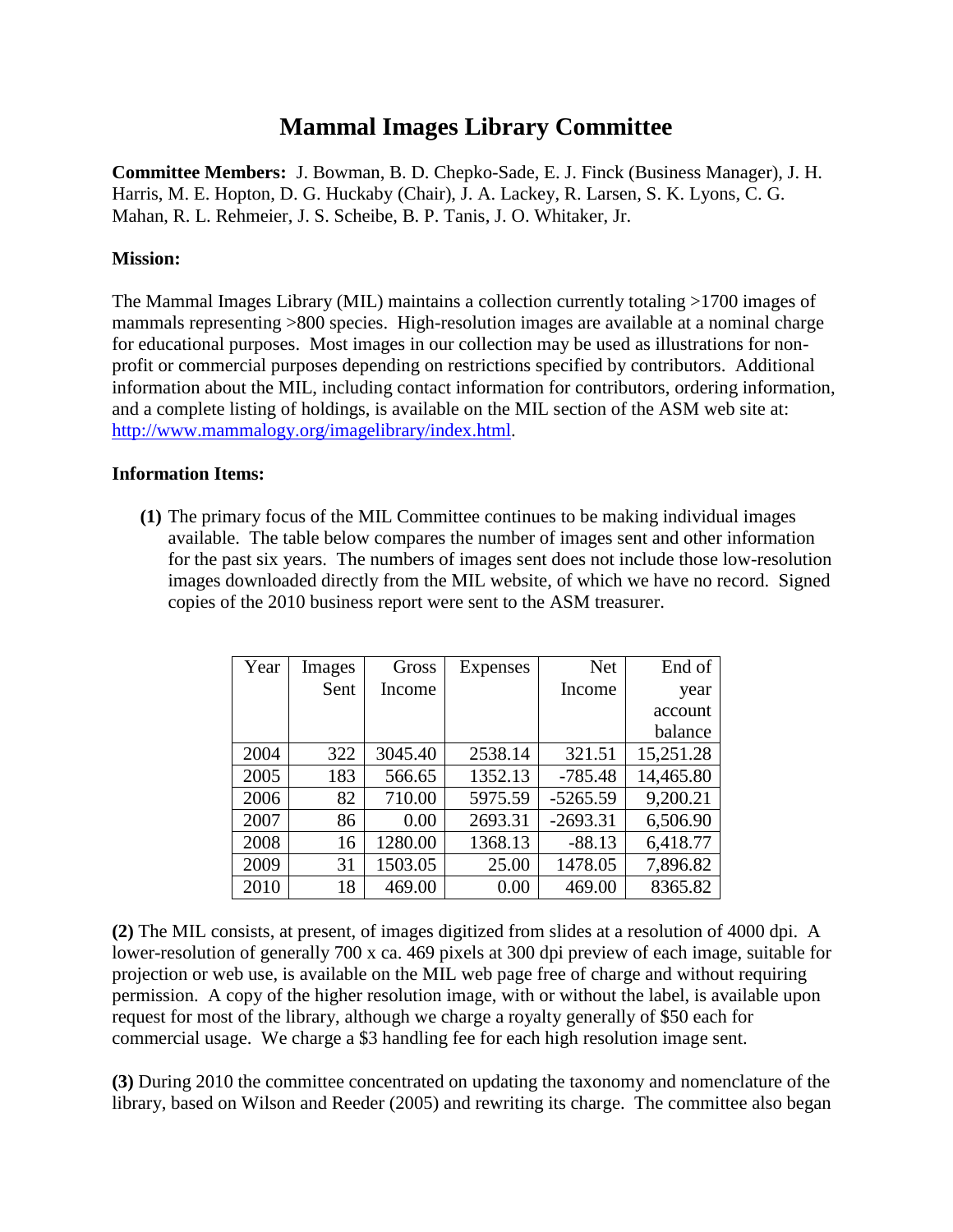## **Mammal Images Library Committee**

**Committee Members:** J. Bowman, B. D. Chepko-Sade, E. J. Finck (Business Manager), J. H. Harris, M. E. Hopton, D. G. Huckaby (Chair), J. A. Lackey, R. Larsen, S. K. Lyons, C. G. Mahan, R. L. Rehmeier, J. S. Scheibe, B. P. Tanis, J. O. Whitaker, Jr.

## **Mission:**

The Mammal Images Library (MIL) maintains a collection currently totaling >1700 images of mammals representing >800 species. High-resolution images are available at a nominal charge for educational purposes. Most images in our collection may be used as illustrations for nonprofit or commercial purposes depending on restrictions specified by contributors. Additional information about the MIL, including contact information for contributors, ordering information, and a complete listing of holdings, is available on the MIL section of the ASM web site at: [http://www.mammalogy.org/imagelibrary/index.html.](http://www.mammalogy.org/imagelibrary/index.html)

## **Information Items:**

**(1)** The primary focus of the MIL Committee continues to be making individual images available. The table below compares the number of images sent and other information for the past six years. The numbers of images sent does not include those low-resolution images downloaded directly from the MIL website, of which we have no record. Signed copies of the 2010 business report were sent to the ASM treasurer.

| Year | Images | Gross   | <b>Expenses</b> | <b>Net</b> | End of    |
|------|--------|---------|-----------------|------------|-----------|
|      | Sent   | Income  |                 | Income     | year      |
|      |        |         |                 |            | account   |
|      |        |         |                 |            | balance   |
| 2004 | 322    | 3045.40 | 2538.14         | 321.51     | 15,251.28 |
| 2005 | 183    | 566.65  | 1352.13         | $-785.48$  | 14,465.80 |
| 2006 | 82     | 710.00  | 5975.59         | $-5265.59$ | 9,200.21  |
| 2007 | 86     | 0.00    | 2693.31         | $-2693.31$ | 6,506.90  |
| 2008 | 16     | 1280.00 | 1368.13         | $-88.13$   | 6,418.77  |
| 2009 | 31     | 1503.05 | 25.00           | 1478.05    | 7,896.82  |
| 2010 | 18     | 469.00  | 0.00            | 469.00     | 8365.82   |

**(2)** The MIL consists, at present, of images digitized from slides at a resolution of 4000 dpi. A lower-resolution of generally 700 x ca. 469 pixels at 300 dpi preview of each image, suitable for projection or web use, is available on the MIL web page free of charge and without requiring permission. A copy of the higher resolution image, with or without the label, is available upon request for most of the library, although we charge a royalty generally of \$50 each for commercial usage. We charge a \$3 handling fee for each high resolution image sent.

**(3)** During 2010 the committee concentrated on updating the taxonomy and nomenclature of the library, based on Wilson and Reeder (2005) and rewriting its charge. The committee also began